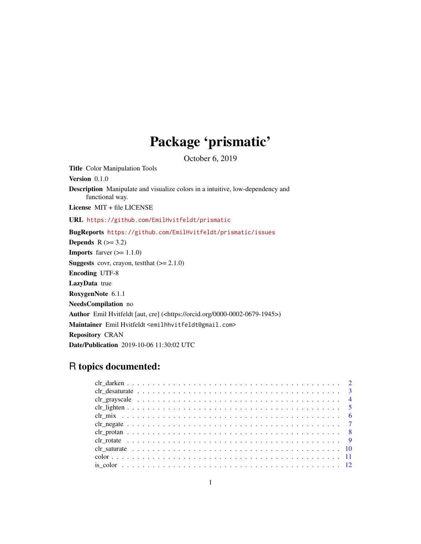# Package 'prismatic'

October 6, 2019

Title Color Manipulation Tools

Version 0.1.0

Description Manipulate and visualize colors in a intuitive, low-dependency and functional way.

License MIT + file LICENSE

URL <https://github.com/EmilHvitfeldt/prismatic>

BugReports <https://github.com/EmilHvitfeldt/prismatic/issues>

Depends  $R$  ( $>= 3.2$ ) **Imports** farver  $(>= 1.1.0)$ **Suggests** covr, crayon, test that  $(>= 2.1.0)$ Encoding UTF-8 LazyData true RoxygenNote 6.1.1 NeedsCompilation no Author Emil Hvitfeldt [aut, cre] (<https://orcid.org/0000-0002-0679-1945>) Maintainer Emil Hvitfeldt <emilhhvitfeldt@gmail.com> Repository CRAN Date/Publication 2019-10-06 11:30:02 UTC

# R topics documented: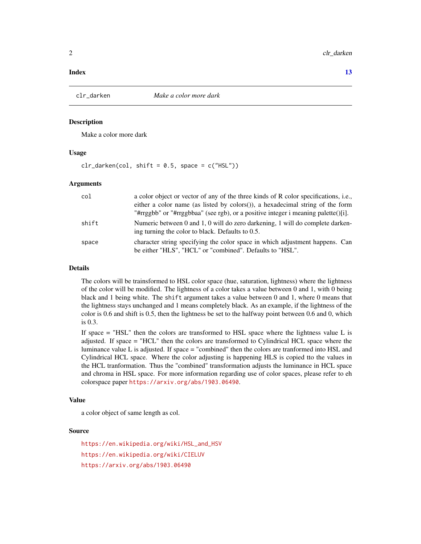#### <span id="page-1-0"></span>**Index** [13](#page-12-0)

#### **Description**

Make a color more dark

#### Usage

 $clr\_darken,col, shift = 0.5, space = c("HSL")$ 

#### **Arguments**

| col   | a color object or vector of any of the three kinds of R color specifications, i.e.,<br>either a color name (as listed by colors()), a hexadecimal string of the form<br>"#rrggbb" or "#rrggbbaa" (see rgb), or a positive integer i meaning palette()[i]. |
|-------|-----------------------------------------------------------------------------------------------------------------------------------------------------------------------------------------------------------------------------------------------------------|
| shift | Numeric between 0 and 1, 0 will do zero darkening, 1 will do complete darken-<br>ing turning the color to black. Defaults to 0.5.                                                                                                                         |
| space | character string specifying the color space in which adjustment happens. Can<br>be either "HLS", "HCL" or "combined". Defaults to "HSL".                                                                                                                  |

#### Details

The colors will be trainsformed to HSL color space (hue, saturation, lightness) where the lightness of the color will be modified. The lightness of a color takes a value between 0 and 1, with 0 being black and 1 being white. The shift argument takes a value between 0 and 1, where 0 means that the lightness stays unchanged and 1 means completely black. As an example, if the lightness of the color is 0.6 and shift is 0.5, then the lightness be set to the halfway point between 0.6 and 0, which is 0.3.

If space = "HSL" then the colors are transformed to HSL space where the lightness value L is adjusted. If space = "HCL" then the colors are transformed to Cylindrical HCL space where the luminance value L is adjusted. If space = "combined" then the colors are tranformed into HSL and Cylindrical HCL space. Where the color adjusting is happening HLS is copied tto the values in the HCL tranformation. Thus the "combined" transformation adjusts the luminance in HCL space and chroma in HSL space. For more information regarding use of color spaces, please refer to eh colorspace paper <https://arxiv.org/abs/1903.06490>.

#### Value

a color object of same length as col.

#### Source

[https://en.wikipedia.org/wiki/HSL\\_and\\_HSV](https://en.wikipedia.org/wiki/HSL_and_HSV) <https://en.wikipedia.org/wiki/CIELUV> <https://arxiv.org/abs/1903.06490>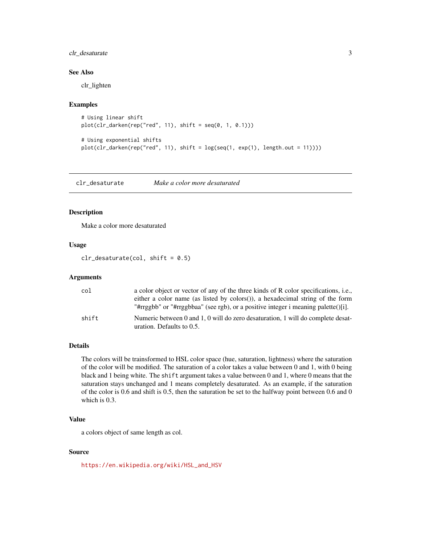### <span id="page-2-0"></span>clr\_desaturate 3

#### See Also

clr\_lighten

#### Examples

```
# Using linear shift
plot(clr_darken(rep("red", 11), shift = seq(0, 1, 0.1)))
# Using exponential shifts
plot(clr_darken(rep("red", 11), shift = log(seq(1, exp(1), length.out = 11))))
```
clr\_desaturate *Make a color more desaturated*

#### Description

Make a color more desaturated

#### Usage

 $clr\_desature,col, shift = 0.5)$ 

#### Arguments

| col   | a color object or vector of any of the three kinds of R color specifications, i.e.,      |
|-------|------------------------------------------------------------------------------------------|
|       | either a color name (as listed by colors)), a hexadecimal string of the form             |
|       | "#rrggbb" or "#rrggbbaa" (see rgb), or a positive integer i meaning palette( $\chi$ [i]. |
| shift | Numeric between 0 and 1, 0 will do zero desaturation, 1 will do complete desat-          |
|       | uration. Defaults to 0.5.                                                                |

#### Details

The colors will be trainsformed to HSL color space (hue, saturation, lightness) where the saturation of the color will be modified. The saturation of a color takes a value between 0 and 1, with 0 being black and 1 being white. The shift argument takes a value between 0 and 1, where 0 means that the saturation stays unchanged and 1 means completely desaturated. As an example, if the saturation of the color is 0.6 and shift is 0.5, then the saturation be set to the halfway point between 0.6 and 0 which is 0.3.

### Value

a colors object of same length as col.

#### Source

[https://en.wikipedia.org/wiki/HSL\\_and\\_HSV](https://en.wikipedia.org/wiki/HSL_and_HSV)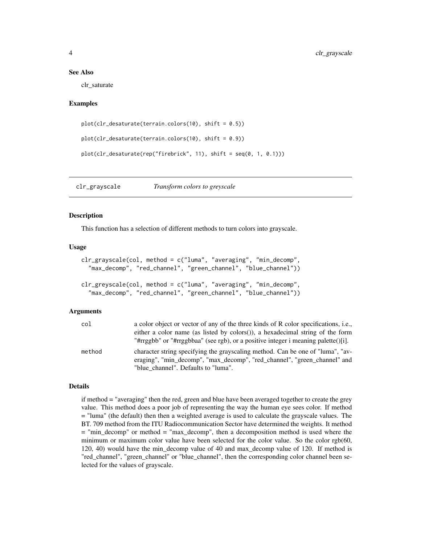#### <span id="page-3-0"></span>See Also

clr\_saturate

#### Examples

```
plot(clr_desaturate(terrain.colors(10), shift = 0.5))
```

```
plot(clr_desaturate(terrain.colors(10), shift = 0.9))
```

```
plot(clr_desaturate(rep("firebrick", 11), shift = seq(0, 1, 0.1)))
```
clr\_grayscale *Transform colors to greyscale*

#### Description

This function has a selection of different methods to turn colors into grayscale.

#### Usage

```
clr_grayscale(col, method = c("luma", "averaging", "min_decomp",
  "max_decomp", "red_channel", "green_channel", "blue_channel"))
clr_greyscale(col, method = c("luma", "averaging", "min_decomp",
  "max_decomp", "red_channel", "green_channel", "blue_channel"))
```
#### **Arguments**

| col    | a color object or vector of any of the three kinds of R color specifications, i.e.,                                                                        |
|--------|------------------------------------------------------------------------------------------------------------------------------------------------------------|
|        | either a color name (as listed by colors)), a hexadecimal string of the form                                                                               |
|        | "#rrggbb" or "#rrggbbaa" (see rgb), or a positive integer i meaning palette()[i].                                                                          |
| method | character string specifying the grayscaling method. Can be one of "luma", "av-<br>eraging", "min_decomp", "max_decomp", "red_channel", "green_channel" and |
|        | "blue channel". Defaults to "luma".                                                                                                                        |

#### Details

if method = "averaging" then the red, green and blue have been averaged together to create the grey value. This method does a poor job of representing the way the human eye sees color. If method = "luma" (the default) then then a weighted average is used to calculate the grayscale values. The BT. 709 method from the ITU Radiocommunication Sector have determined the weights. It method = "min\_decomp" or method = "max\_decomp", then a decomposition method is used where the minimum or maximum color value have been selected for the color value. So the color rgb(60, 120, 40) would have the min\_decomp value of 40 and max\_decomp value of 120. If method is "red\_channel", "green\_channel" or "blue\_channel", then the corresponding color channel been selected for the values of grayscale.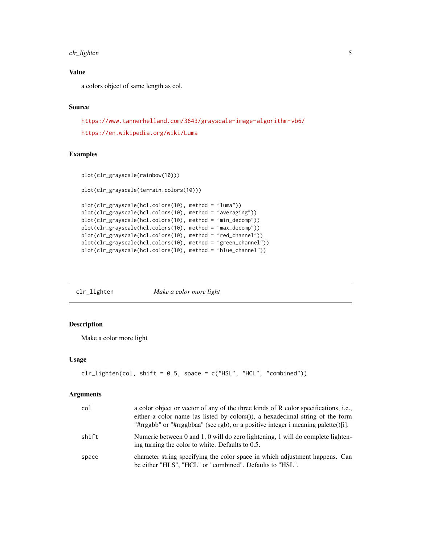### <span id="page-4-0"></span>clr\_lighten 5

#### Value

a colors object of same length as col.

#### Source

```
https://www.tannerhelland.com/3643/grayscale-image-algorithm-vb6/
https://en.wikipedia.org/wiki/Luma
```
#### Examples

```
plot(clr_grayscale(rainbow(10)))
```

```
plot(clr_grayscale(terrain.colors(10)))
```

```
plot(clr_grayscale(hcl.colors(10), method = "luma"))
plot(clr_grayscale(hcl.colors(10), method = "averaging"))
plot(clr_grayscale(hcl.colors(10), method = "min_decomp"))
plot(clr_grayscale(hcl.colors(10), method = "max_decomp"))
plot(clr_grayscale(hcl.colors(10), method = "red_channel"))
plot(clr_grayscale(hcl.colors(10), method = "green_channel"))
plot(clr_grayscale(hcl.colors(10), method = "blue_channel"))
```
clr\_lighten *Make a color more light*

#### Description

Make a color more light

#### Usage

```
clr_{\text{lighten}}(col, shift = 0.5, space = c("HSL", "HCL", "combined")
```
#### Arguments

| col   | a color object or vector of any of the three kinds of R color specifications, i.e.,<br>either a color name (as listed by colors()), a hexadecimal string of the form<br>"#rrggbb" or "#rrggbbaa" (see rgb), or a positive integer i meaning palette()[i]. |
|-------|-----------------------------------------------------------------------------------------------------------------------------------------------------------------------------------------------------------------------------------------------------------|
| shift | Numeric between 0 and 1, 0 will do zero lightening, 1 will do complete lighten-<br>ing turning the color to white. Defaults to 0.5.                                                                                                                       |
| space | character string specifying the color space in which adjustment happens. Can<br>be either "HLS", "HCL" or "combined". Defaults to "HSL".                                                                                                                  |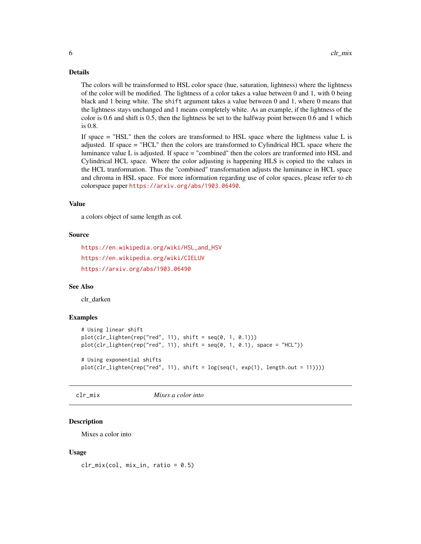#### <span id="page-5-0"></span>Details

The colors will be trainsformed to HSL color space (hue, saturation, lightness) where the lightness of the color will be modified. The lightness of a color takes a value between 0 and 1, with 0 being black and 1 being white. The shift argument takes a value between 0 and 1, where 0 means that the lightness stays unchanged and 1 means completely white. As an example, if the lightness of the color is 0.6 and shift is 0.5, then the lightness be set to the halfway point between 0.6 and 1 which is 0.8.

If space = "HSL" then the colors are transformed to HSL space where the lightness value L is adjusted. If space = "HCL" then the colors are transformed to Cylindrical HCL space where the luminance value L is adjusted. If space = "combined" then the colors are tranformed into HSL and Cylindrical HCL space. Where the color adjusting is happening HLS is copied tto the values in the HCL tranformation. Thus the "combined" transformation adjusts the luminance in HCL space and chroma in HSL space. For more information regarding use of color spaces, please refer to eh colorspace paper <https://arxiv.org/abs/1903.06490>.

#### Value

a colors object of same length as col.

#### Source

```
https://en.wikipedia.org/wiki/HSL_and_HSV
https://en.wikipedia.org/wiki/CIELUV
https://arxiv.org/abs/1903.06490
```
#### See Also

clr\_darken

#### Examples

```
# Using linear shift
plot(clr_lighten(rep("red", 11), shift = seq(0, 1, 0.1)))
plot(clr_{lighten}(rep("red", 11), shift = seq(0, 1, 0.1), space = "HCL"))# Using exponential shifts
plot(clr_lighten(rep("red", 11), shift = log(seq(1, exp(1), length.out = 11))))
```
clr\_mix *Mixes a color into*

#### Description

Mixes a color into

#### Usage

 $clr_mix(col, mix_in, ratio = 0.5)$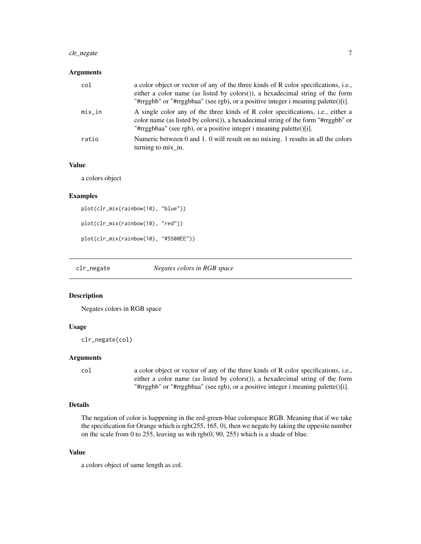### <span id="page-6-0"></span>clr\_negate 7

#### **Arguments**

| col    | a color object or vector of any of the three kinds of R color specifications, i.e.,<br>either a color name (as listed by colors)), a hexadecimal string of the form<br>"#rrggbb" or "#rrggbbaa" (see rgb), or a positive integer i meaning palette()[i]. |
|--------|----------------------------------------------------------------------------------------------------------------------------------------------------------------------------------------------------------------------------------------------------------|
| mix_in | A single color any of the three kinds of R color specifications, i.e., either a<br>color name (as listed by colors()), a hexadecimal string of the form "#rrggbb" or<br>"#rrggbbaa" (see rgb), or a positive integer i meaning palette()[i].             |
| ratio  | Numeric between 0 and 1.0 will result on no mixing. 1 results in all the colors<br>turning to mix_in.                                                                                                                                                    |

#### Value

a colors object

# Examples

plot(clr\_mix(rainbow(10), "blue")) plot(clr\_mix(rainbow(10), "red")) plot(clr\_mix(rainbow(10), "#5500EE"))

clr\_negate *Negates colors in RGB space*

#### Description

Negates colors in RGB space

#### Usage

clr\_negate(col)

#### Arguments

col a color object or vector of any of the three kinds of R color specifications, i.e., either a color name (as listed by colors()), a hexadecimal string of the form "#rrggbb" or "#rrggbbaa" (see rgb), or a positive integer i meaning palette()[i].

#### Details

The negation of color is happening in the red-green-blue colorspace RGB. Meaning that if we take the specification for Orange which is rgb(255, 165, 0), then we negate by taking the oppesite number on the scale from 0 to 255, leaving us wih rgb(0, 90, 255) which is a shade of blue.

#### Value

a colors object of same length as col.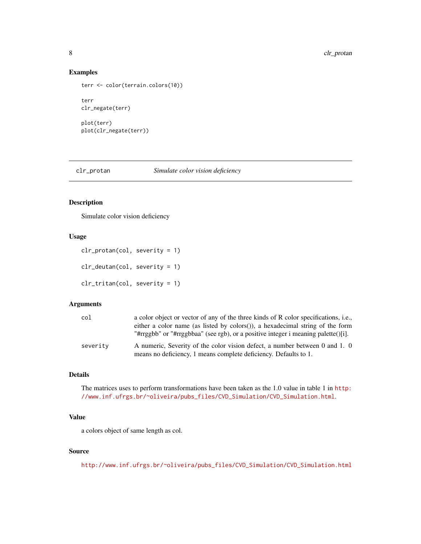# Examples

```
terr <- color(terrain.colors(10))
terr
clr_negate(terr)
plot(terr)
plot(clr_negate(terr))
```
clr\_protan *Simulate color vision deficiency*

### Description

Simulate color vision deficiency

### Usage

clr\_protan(col, severity = 1) clr\_deutan(col, severity = 1) clr\_tritan(col, severity = 1)

#### Arguments

| col      | a color object or vector of any of the three kinds of R color specifications, i.e.,      |
|----------|------------------------------------------------------------------------------------------|
|          | either a color name (as listed by colors)), a hexadecimal string of the form             |
|          | "#rrggbb" or "#rrggbbaa" (see rgb), or a positive integer i meaning palette( $\chi$ [i]. |
| severity | A numeric, Severity of the color vision defect, a number between 0 and 1. 0              |
|          | means no deficiency, 1 means complete deficiency. Defaults to 1.                         |

# Details

The matrices uses to perform transformations have been taken as the 1.0 value in table 1 in [http:](http://www.inf.ufrgs.br/~oliveira/pubs_files/CVD_Simulation/CVD_Simulation.html) [//www.inf.ufrgs.br/~oliveira/pubs\\_files/CVD\\_Simulation/CVD\\_Simulation.html](http://www.inf.ufrgs.br/~oliveira/pubs_files/CVD_Simulation/CVD_Simulation.html).

#### Value

a colors object of same length as col.

#### Source

[http://www.inf.ufrgs.br/~oliveira/pubs\\_files/CVD\\_Simulation/CVD\\_Simulation.html](http://www.inf.ufrgs.br/~oliveira/pubs_files/CVD_Simulation/CVD_Simulation.html)

<span id="page-7-0"></span>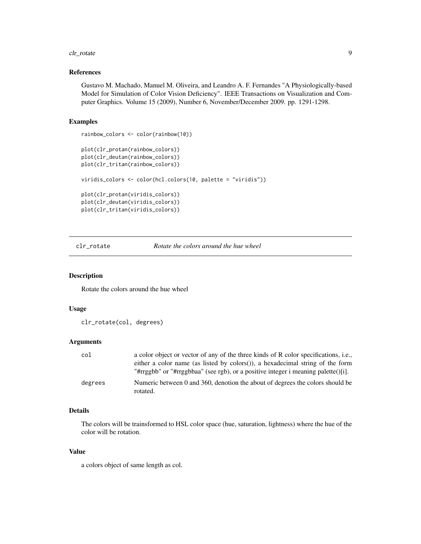#### <span id="page-8-0"></span>clr\_rotate 9

#### References

Gustavo M. Machado, Manuel M. Oliveira, and Leandro A. F. Fernandes "A Physiologically-based Model for Simulation of Color Vision Deficiency". IEEE Transactions on Visualization and Computer Graphics. Volume 15 (2009), Number 6, November/December 2009. pp. 1291-1298.

#### Examples

```
rainbow_colors <- color(rainbow(10))
plot(clr_protan(rainbow_colors))
plot(clr_deutan(rainbow_colors))
plot(clr_tritan(rainbow_colors))
viridis_colors <- color(hcl.colors(10, palette = "viridis"))
plot(clr_protan(viridis_colors))
plot(clr_deutan(viridis_colors))
plot(clr_tritan(viridis_colors))
```
clr\_rotate *Rotate the colors around the hue wheel*

### Description

Rotate the colors around the hue wheel

#### Usage

clr\_rotate(col, degrees)

#### Arguments

| col     | a color object or vector of any of the three kinds of R color specifications, i.e.,       |
|---------|-------------------------------------------------------------------------------------------|
|         | either a color name (as listed by colors)), a hexadecimal string of the form              |
|         | "#rrggbb" or "#rrggbbaa" (see rgb), or a positive integer i meaning palette()[i].         |
| degrees | Numeric between 0 and 360, denotion the about of degrees the colors should be<br>rotated. |
|         |                                                                                           |

# Details

The colors will be trainsformed to HSL color space (hue, saturation, lightness) where the hue of the color will be rotation.

#### Value

a colors object of same length as col.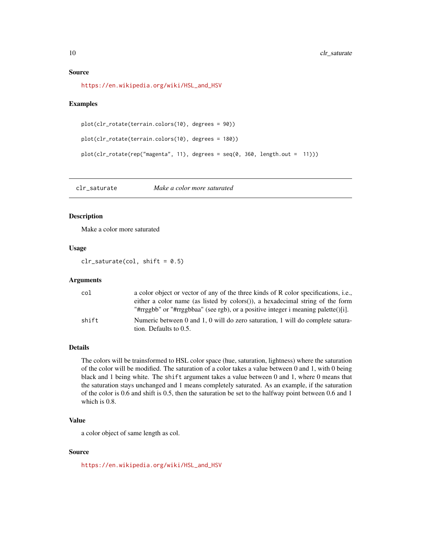#### <span id="page-9-0"></span>Source

[https://en.wikipedia.org/wiki/HSL\\_and\\_HSV](https://en.wikipedia.org/wiki/HSL_and_HSV)

#### Examples

```
plot(clr_rotate(terrain.colors(10), degrees = 90))
plot(clr_rotate(terrain.colors(10), degrees = 180))
plot(clr_rotate(rep("magenta", 11), degrees = seq(0, 360, length.out = 11)))
```
clr\_saturate *Make a color more saturated*

#### Description

Make a color more saturated

#### Usage

 $clr\_sature(col, shift = 0.5)$ 

#### Arguments

| col   | a color object or vector of any of the three kinds of R color specifications, i.e.,      |
|-------|------------------------------------------------------------------------------------------|
|       | either a color name (as listed by colors()), a hexadecimal string of the form            |
|       | "#rrggbb" or "#rrggbbaa" (see rgb), or a positive integer i meaning palette( $\chi$ [i]. |
| shift | Numeric between 0 and 1, 0 will do zero saturation, 1 will do complete satura-           |
|       | tion. Defaults to 0.5.                                                                   |

#### Details

The colors will be trainsformed to HSL color space (hue, saturation, lightness) where the saturation of the color will be modified. The saturation of a color takes a value between 0 and 1, with 0 being black and 1 being white. The shift argument takes a value between 0 and 1, where 0 means that the saturation stays unchanged and 1 means completely saturated. As an example, if the saturation of the color is 0.6 and shift is 0.5, then the saturation be set to the halfway point between 0.6 and 1 which is 0.8.

### Value

a color object of same length as col.

#### Source

[https://en.wikipedia.org/wiki/HSL\\_and\\_HSV](https://en.wikipedia.org/wiki/HSL_and_HSV)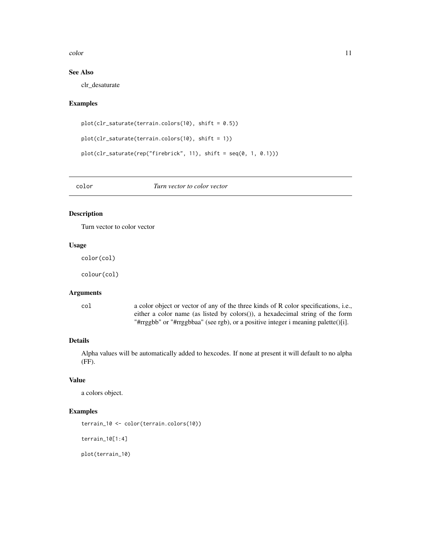<span id="page-10-0"></span>color that the color is a set of the color of the color in the color in the color in the color in the color in the color in the color in the color in the color in the color in the color in the color in the color in the col

# See Also

clr\_desaturate

#### Examples

```
plot(clr\_sature(terrain.colors(10), shift = 0.5))
```

```
plot(clr_saturate(terrain.colors(10), shift = 1))
```

```
plot(clr_saturate(rep("firebrick", 11), shift = seq(0, 1, 0.1)))
```
color *Turn vector to color vector*

#### Description

Turn vector to color vector

#### Usage

color(col)

colour(col)

#### Arguments

col a color object or vector of any of the three kinds of R color specifications, i.e., either a color name (as listed by colors()), a hexadecimal string of the form "#rrggbb" or "#rrggbbaa" (see rgb), or a positive integer i meaning palette()[i].

# Details

Alpha values will be automatically added to hexcodes. If none at present it will default to no alpha (FF).

### Value

a colors object.

# Examples

terrain\_10 <- color(terrain.colors(10))

terrain\_10[1:4]

plot(terrain\_10)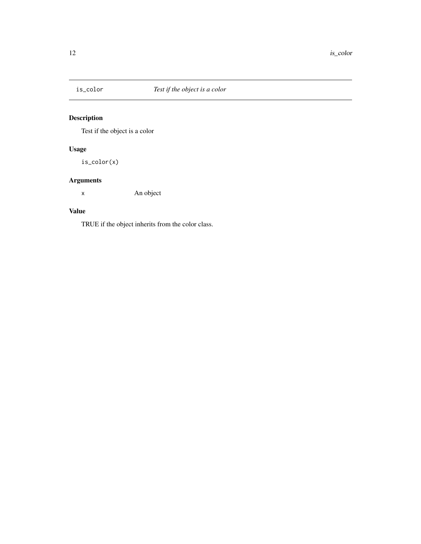<span id="page-11-0"></span>

# Description

Test if the object is a color

# Usage

is\_color(x)

# Arguments

x An object

# Value

TRUE if the object inherits from the color class.